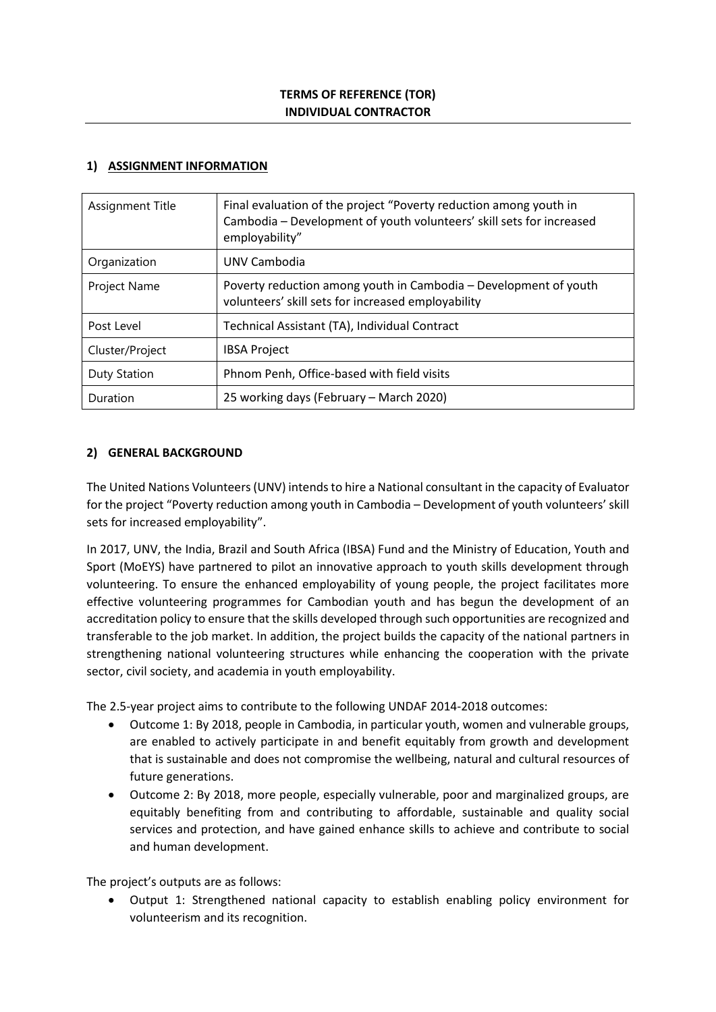## **1) ASSIGNMENT INFORMATION**

| Assignment Title | Final evaluation of the project "Poverty reduction among youth in<br>Cambodia - Development of youth volunteers' skill sets for increased<br>employability" |
|------------------|-------------------------------------------------------------------------------------------------------------------------------------------------------------|
| Organization     | UNV Cambodia                                                                                                                                                |
| Project Name     | Poverty reduction among youth in Cambodia - Development of youth<br>volunteers' skill sets for increased employability                                      |
| Post Level       | Technical Assistant (TA), Individual Contract                                                                                                               |
| Cluster/Project  | <b>IBSA Project</b>                                                                                                                                         |
| Duty Station     | Phnom Penh, Office-based with field visits                                                                                                                  |
| Duration         | 25 working days (February - March 2020)                                                                                                                     |

# **2) GENERAL BACKGROUND**

The United Nations Volunteers (UNV) intends to hire a National consultant in the capacity of Evaluator for the project "Poverty reduction among youth in Cambodia – Development of youth volunteers' skill sets for increased employability".

In 2017, UNV, the India, Brazil and South Africa (IBSA) Fund and the Ministry of Education, Youth and Sport (MoEYS) have partnered to pilot an innovative approach to youth skills development through volunteering. To ensure the enhanced employability of young people, the project facilitates more effective volunteering programmes for Cambodian youth and has begun the development of an accreditation policy to ensure that the skills developed through such opportunities are recognized and transferable to the job market. In addition, the project builds the capacity of the national partners in strengthening national volunteering structures while enhancing the cooperation with the private sector, civil society, and academia in youth employability.

The 2.5-year project aims to contribute to the following UNDAF 2014-2018 outcomes:

- Outcome 1: By 2018, people in Cambodia, in particular youth, women and vulnerable groups, are enabled to actively participate in and benefit equitably from growth and development that is sustainable and does not compromise the wellbeing, natural and cultural resources of future generations.
- Outcome 2: By 2018, more people, especially vulnerable, poor and marginalized groups, are equitably benefiting from and contributing to affordable, sustainable and quality social services and protection, and have gained enhance skills to achieve and contribute to social and human development.

The project's outputs are as follows:

• Output 1: Strengthened national capacity to establish enabling policy environment for volunteerism and its recognition.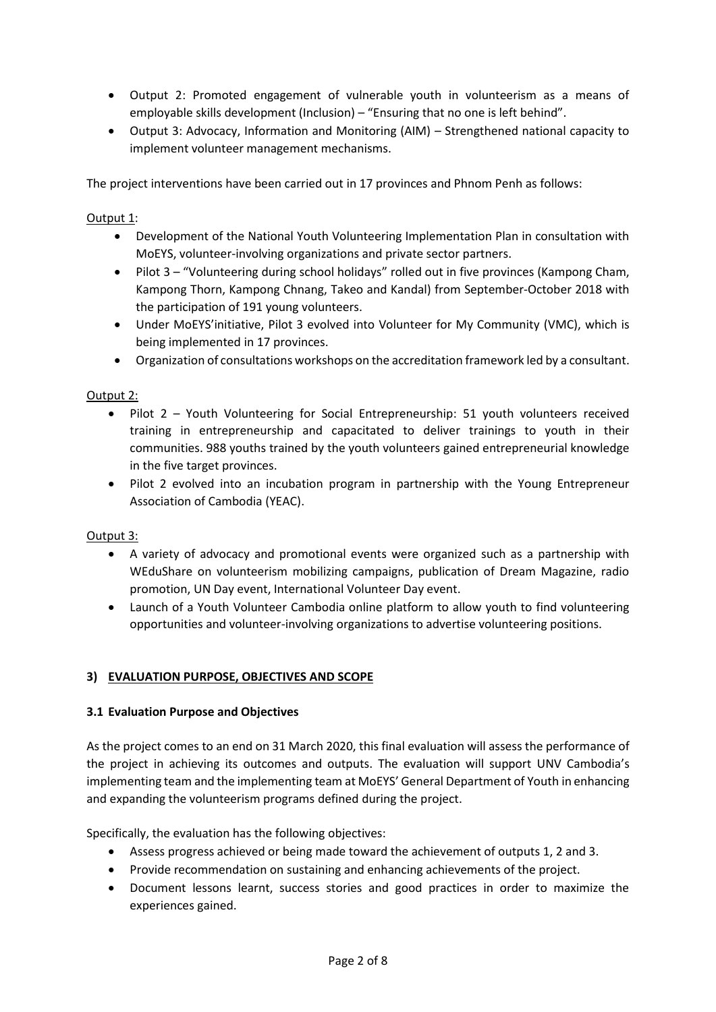- Output 2: Promoted engagement of vulnerable youth in volunteerism as a means of employable skills development (Inclusion) – "Ensuring that no one is left behind".
- Output 3: Advocacy, Information and Monitoring (AIM) Strengthened national capacity to implement volunteer management mechanisms.

The project interventions have been carried out in 17 provinces and Phnom Penh as follows:

# Output 1:

- Development of the National Youth Volunteering Implementation Plan in consultation with MoEYS, volunteer-involving organizations and private sector partners.
- Pilot 3 "Volunteering during school holidays" rolled out in five provinces (Kampong Cham, Kampong Thorn, Kampong Chnang, Takeo and Kandal) from September-October 2018 with the participation of 191 young volunteers.
- Under MoEYS'initiative, Pilot 3 evolved into Volunteer for My Community (VMC), which is being implemented in 17 provinces.
- Organization of consultations workshops on the accreditation framework led by a consultant.

## Output 2:

- Pilot 2 Youth Volunteering for Social Entrepreneurship: 51 youth volunteers received training in entrepreneurship and capacitated to deliver trainings to youth in their communities. 988 youths trained by the youth volunteers gained entrepreneurial knowledge in the five target provinces.
- Pilot 2 evolved into an incubation program in partnership with the Young Entrepreneur Association of Cambodia (YEAC).

#### Output 3:

- A variety of advocacy and promotional events were organized such as a partnership with WEduShare on volunteerism mobilizing campaigns, publication of Dream Magazine, radio promotion, UN Day event, International Volunteer Day event.
- Launch of a Youth Volunteer Cambodia online platform to allow youth to find volunteering opportunities and volunteer-involving organizations to advertise volunteering positions.

# **3) EVALUATION PURPOSE, OBJECTIVES AND SCOPE**

#### **3.1 Evaluation Purpose and Objectives**

As the project comes to an end on 31 March 2020, this final evaluation will assess the performance of the project in achieving its outcomes and outputs. The evaluation will support UNV Cambodia's implementing team and the implementing team at MoEYS' General Department of Youth in enhancing and expanding the volunteerism programs defined during the project.

Specifically, the evaluation has the following objectives:

- Assess progress achieved or being made toward the achievement of outputs 1, 2 and 3.
- Provide recommendation on sustaining and enhancing achievements of the project.
- Document lessons learnt, success stories and good practices in order to maximize the experiences gained.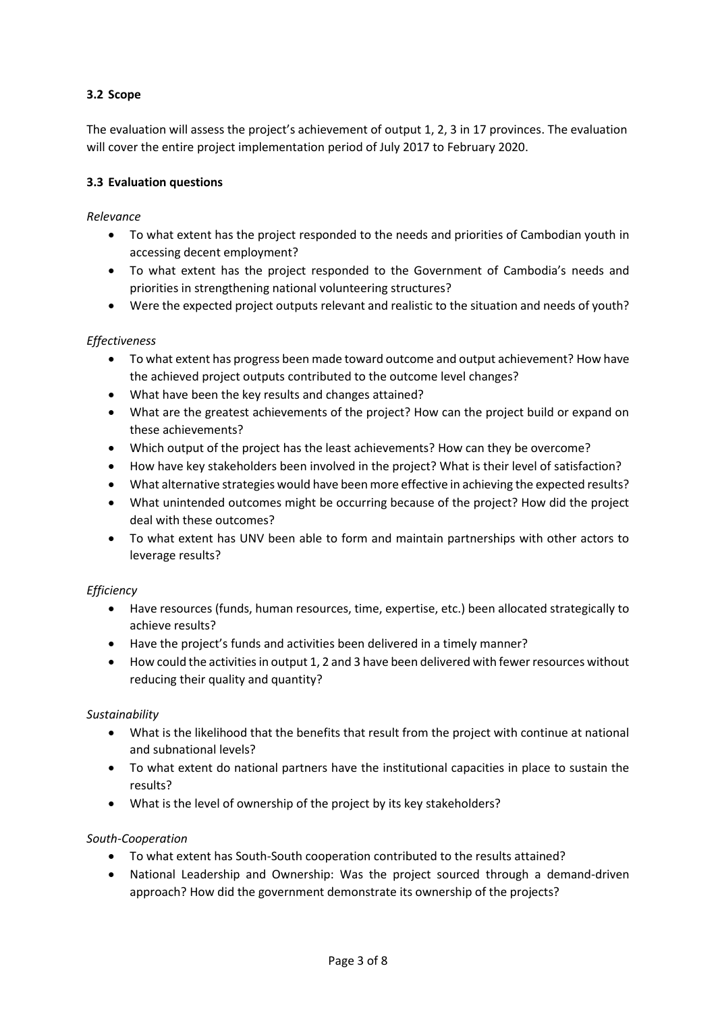# **3.2 Scope**

The evaluation will assess the project's achievement of output 1, 2, 3 in 17 provinces. The evaluation will cover the entire project implementation period of July 2017 to February 2020.

## **3.3 Evaluation questions**

*Relevance*

- To what extent has the project responded to the needs and priorities of Cambodian youth in accessing decent employment?
- To what extent has the project responded to the Government of Cambodia's needs and priorities in strengthening national volunteering structures?
- Were the expected project outputs relevant and realistic to the situation and needs of youth?

# *Effectiveness*

- To what extent has progress been made toward outcome and output achievement? How have the achieved project outputs contributed to the outcome level changes?
- What have been the key results and changes attained?
- What are the greatest achievements of the project? How can the project build or expand on these achievements?
- Which output of the project has the least achievements? How can they be overcome?
- How have key stakeholders been involved in the project? What is their level of satisfaction?
- What alternative strategies would have been more effective in achieving the expected results?
- What unintended outcomes might be occurring because of the project? How did the project deal with these outcomes?
- To what extent has UNV been able to form and maintain partnerships with other actors to leverage results?

#### *Efficiency*

- Have resources (funds, human resources, time, expertise, etc.) been allocated strategically to achieve results?
- Have the project's funds and activities been delivered in a timely manner?
- How could the activities in output 1, 2 and 3 have been delivered with fewer resources without reducing their quality and quantity?

# *Sustainability*

- What is the likelihood that the benefits that result from the project with continue at national and subnational levels?
- To what extent do national partners have the institutional capacities in place to sustain the results?
- What is the level of ownership of the project by its key stakeholders?

# *South-Cooperation*

- To what extent has South-South cooperation contributed to the results attained?
- National Leadership and Ownership: Was the project sourced through a demand-driven approach? How did the government demonstrate its ownership of the projects?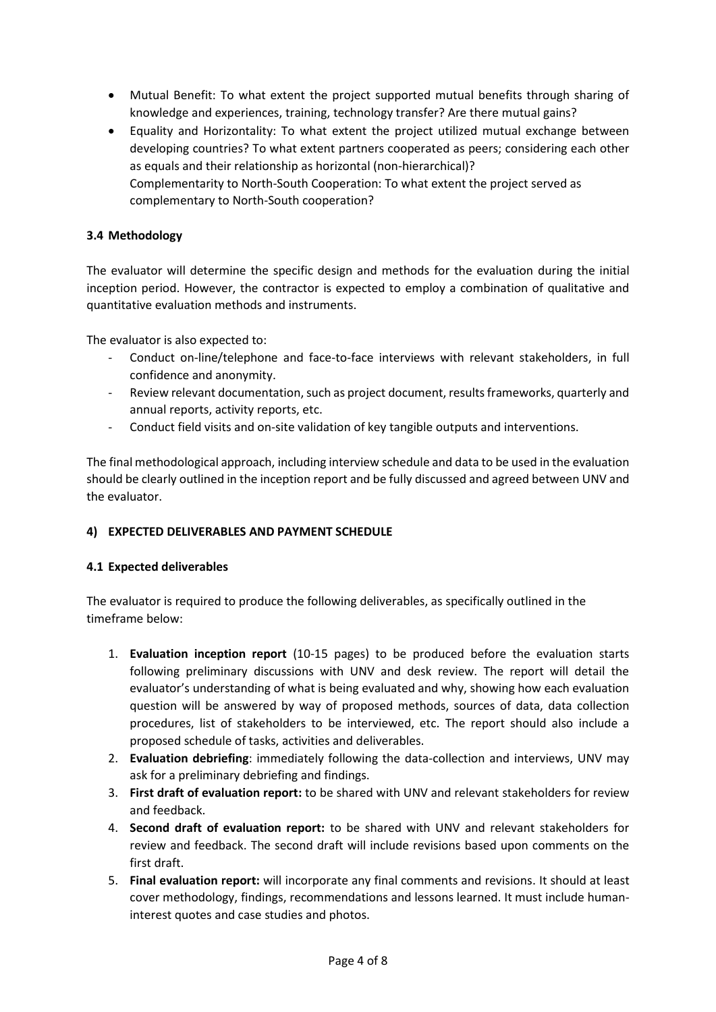- Mutual Benefit: To what extent the project supported mutual benefits through sharing of knowledge and experiences, training, technology transfer? Are there mutual gains?
- Equality and Horizontality: To what extent the project utilized mutual exchange between developing countries? To what extent partners cooperated as peers; considering each other as equals and their relationship as horizontal (non-hierarchical)? Complementarity to North-South Cooperation: To what extent the project served as complementary to North-South cooperation?

# **3.4 Methodology**

The evaluator will determine the specific design and methods for the evaluation during the initial inception period. However, the contractor is expected to employ a combination of qualitative and quantitative evaluation methods and instruments.

The evaluator is also expected to:

- Conduct on-line/telephone and face-to-face interviews with relevant stakeholders, in full confidence and anonymity.
- Review relevant documentation, such as project document, results frameworks, quarterly and annual reports, activity reports, etc.
- Conduct field visits and on-site validation of key tangible outputs and interventions.

The final methodological approach, including interview schedule and data to be used in the evaluation should be clearly outlined in the inception report and be fully discussed and agreed between UNV and the evaluator.

# **4) EXPECTED DELIVERABLES AND PAYMENT SCHEDULE**

# **4.1 Expected deliverables**

The evaluator is required to produce the following deliverables, as specifically outlined in the timeframe below:

- 1. **Evaluation inception report** (10-15 pages) to be produced before the evaluation starts following preliminary discussions with UNV and desk review. The report will detail the evaluator's understanding of what is being evaluated and why, showing how each evaluation question will be answered by way of proposed methods, sources of data, data collection procedures, list of stakeholders to be interviewed, etc. The report should also include a proposed schedule of tasks, activities and deliverables.
- 2. **Evaluation debriefing**: immediately following the data-collection and interviews, UNV may ask for a preliminary debriefing and findings.
- 3. **First draft of evaluation report:** to be shared with UNV and relevant stakeholders for review and feedback.
- 4. **Second draft of evaluation report:** to be shared with UNV and relevant stakeholders for review and feedback. The second draft will include revisions based upon comments on the first draft.
- 5. **Final evaluation report:** will incorporate any final comments and revisions. It should at least cover methodology, findings, recommendations and lessons learned. It must include humaninterest quotes and case studies and photos.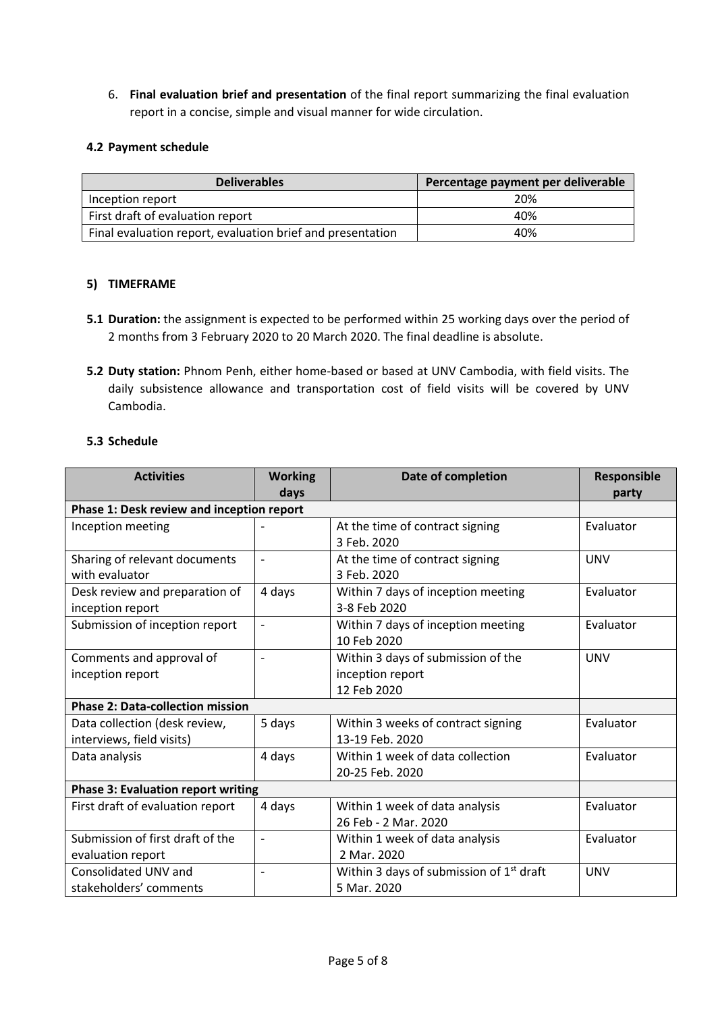6. **Final evaluation brief and presentation** of the final report summarizing the final evaluation report in a concise, simple and visual manner for wide circulation.

## **4.2 Payment schedule**

| <b>Deliverables</b>                                        | Percentage payment per deliverable |
|------------------------------------------------------------|------------------------------------|
| Inception report                                           | 20%                                |
| First draft of evaluation report                           | 40%                                |
| Final evaluation report, evaluation brief and presentation | 40%                                |

## **5) TIMEFRAME**

- **5.1 Duration:** the assignment is expected to be performed within 25 working days over the period of 2 months from 3 February 2020 to 20 March 2020. The final deadline is absolute.
- **5.2 Duty station:** Phnom Penh, either home-based or based at UNV Cambodia, with field visits. The daily subsistence allowance and transportation cost of field visits will be covered by UNV Cambodia.

## **5.3 Schedule**

| <b>Activities</b>                         | <b>Working</b> | Date of completion                                   | Responsible |
|-------------------------------------------|----------------|------------------------------------------------------|-------------|
|                                           | days           |                                                      | party       |
| Phase 1: Desk review and inception report |                |                                                      |             |
| Inception meeting                         |                | At the time of contract signing                      | Evaluator   |
|                                           |                | 3 Feb. 2020                                          |             |
| Sharing of relevant documents             |                | At the time of contract signing                      | <b>UNV</b>  |
| with evaluator                            |                | 3 Feb. 2020                                          |             |
| Desk review and preparation of            | 4 days         | Within 7 days of inception meeting                   | Evaluator   |
| inception report                          |                | 3-8 Feb 2020                                         |             |
| Submission of inception report            | ÷,             | Within 7 days of inception meeting                   | Evaluator   |
|                                           |                | 10 Feb 2020                                          |             |
| Comments and approval of                  |                | Within 3 days of submission of the                   | <b>UNV</b>  |
| inception report                          |                | inception report                                     |             |
|                                           |                | 12 Feb 2020                                          |             |
| <b>Phase 2: Data-collection mission</b>   |                |                                                      |             |
| Data collection (desk review,             | 5 days         | Within 3 weeks of contract signing                   | Evaluator   |
| interviews, field visits)                 |                | 13-19 Feb. 2020                                      |             |
| Data analysis                             | 4 days         | Within 1 week of data collection                     | Evaluator   |
|                                           |                | 20-25 Feb. 2020                                      |             |
| <b>Phase 3: Evaluation report writing</b> |                |                                                      |             |
| First draft of evaluation report          | 4 days         | Within 1 week of data analysis                       | Evaluator   |
|                                           |                | 26 Feb - 2 Mar. 2020                                 |             |
| Submission of first draft of the          |                | Within 1 week of data analysis                       | Evaluator   |
| evaluation report                         |                | 2 Mar. 2020                                          |             |
| Consolidated UNV and                      | ۰              | Within 3 days of submission of 1 <sup>st</sup> draft | <b>UNV</b>  |
| stakeholders' comments                    |                | 5 Mar. 2020                                          |             |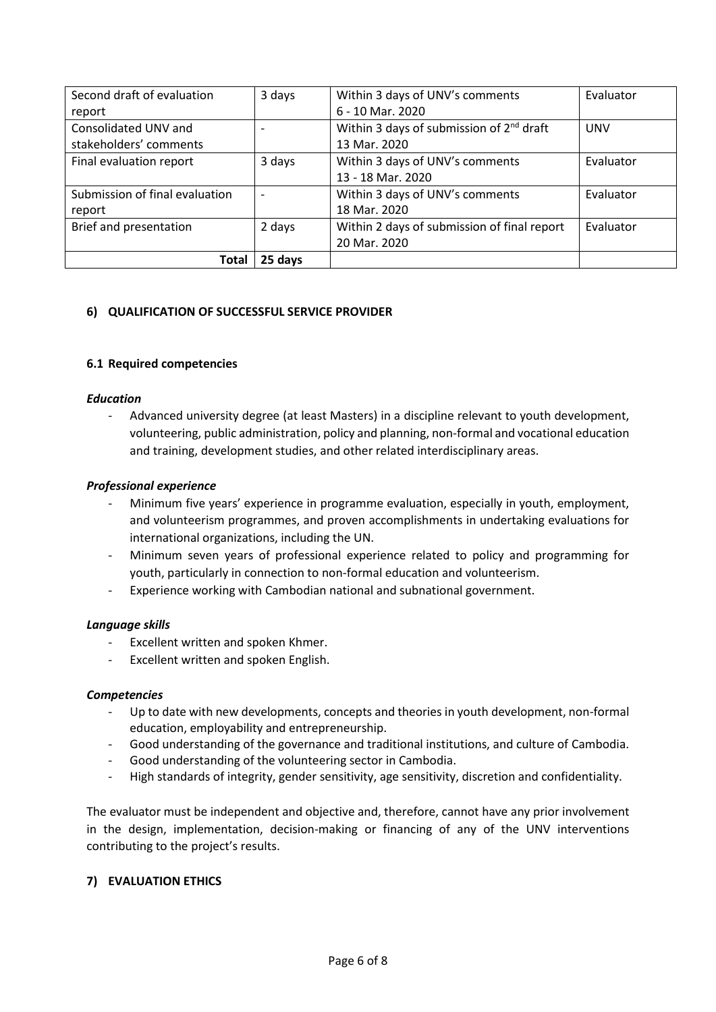| Second draft of evaluation     | 3 days  | Within 3 days of UNV's comments                      | Evaluator  |
|--------------------------------|---------|------------------------------------------------------|------------|
| report                         |         | 6 - 10 Mar. 2020                                     |            |
| Consolidated UNV and           |         | Within 3 days of submission of 2 <sup>nd</sup> draft | <b>UNV</b> |
| stakeholders' comments         |         | 13 Mar. 2020                                         |            |
| Final evaluation report        | 3 days  | Within 3 days of UNV's comments                      | Evaluator  |
|                                |         | 13 - 18 Mar. 2020                                    |            |
| Submission of final evaluation |         | Within 3 days of UNV's comments                      | Evaluator  |
| report                         |         | 18 Mar. 2020                                         |            |
| Brief and presentation         | 2 days  | Within 2 days of submission of final report          | Evaluator  |
|                                |         | 20 Mar. 2020                                         |            |
| <b>Total</b>                   | 25 days |                                                      |            |

## **6) QUALIFICATION OF SUCCESSFUL SERVICE PROVIDER**

#### **6.1 Required competencies**

## *Education*

Advanced university degree (at least Masters) in a discipline relevant to youth development, volunteering, public administration, policy and planning, non-formal and vocational education and training, development studies, and other related interdisciplinary areas.

## *Professional experience*

- Minimum five years' experience in programme evaluation, especially in youth, employment, and volunteerism programmes, and proven accomplishments in undertaking evaluations for international organizations, including the UN.
- Minimum seven years of professional experience related to policy and programming for youth, particularly in connection to non-formal education and volunteerism.
- Experience working with Cambodian national and subnational government.

#### *Language skills*

- Excellent written and spoken Khmer.
- Excellent written and spoken English.

#### *Competencies*

- Up to date with new developments, concepts and theories in youth development, non-formal education, employability and entrepreneurship.
- Good understanding of the governance and traditional institutions, and culture of Cambodia.
- Good understanding of the volunteering sector in Cambodia.
- High standards of integrity, gender sensitivity, age sensitivity, discretion and confidentiality.

The evaluator must be independent and objective and, therefore, cannot have any prior involvement in the design, implementation, decision-making or financing of any of the UNV interventions contributing to the project's results.

#### **7) EVALUATION ETHICS**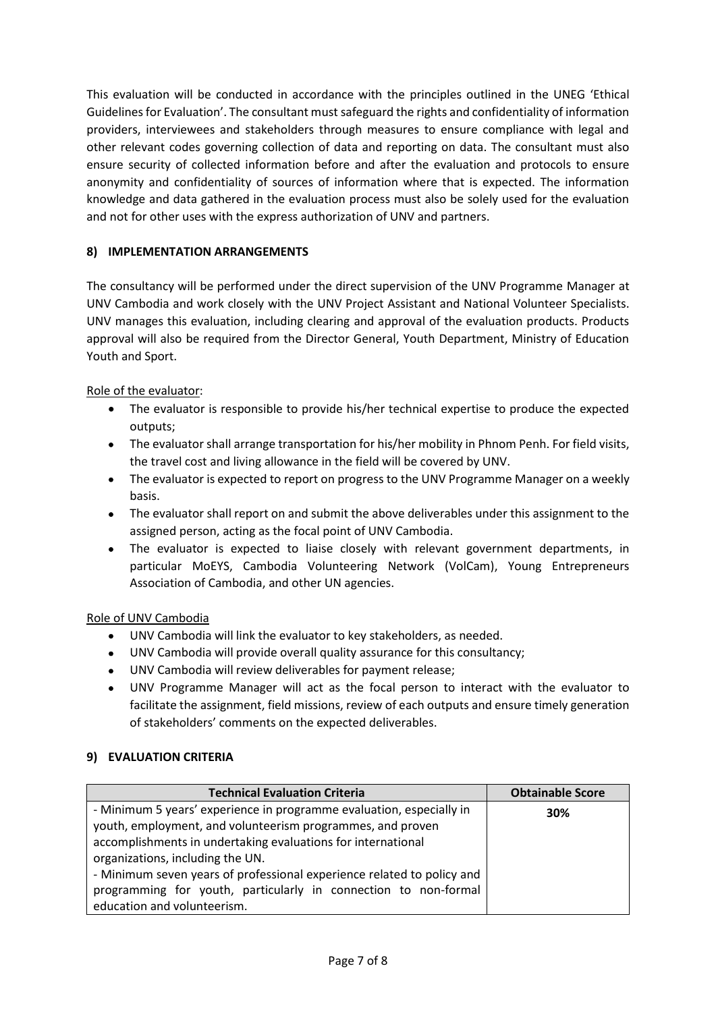This evaluation will be conducted in accordance with the principles outlined in the UNEG 'Ethical Guidelines for Evaluation'. The consultant must safeguard the rights and confidentiality of information providers, interviewees and stakeholders through measures to ensure compliance with legal and other relevant codes governing collection of data and reporting on data. The consultant must also ensure security of collected information before and after the evaluation and protocols to ensure anonymity and confidentiality of sources of information where that is expected. The information knowledge and data gathered in the evaluation process must also be solely used for the evaluation and not for other uses with the express authorization of UNV and partners.

# **8) IMPLEMENTATION ARRANGEMENTS**

The consultancy will be performed under the direct supervision of the UNV Programme Manager at UNV Cambodia and work closely with the UNV Project Assistant and National Volunteer Specialists. UNV manages this evaluation, including clearing and approval of the evaluation products. Products approval will also be required from the Director General, Youth Department, Ministry of Education Youth and Sport.

Role of the evaluator:

- The evaluator is responsible to provide his/her technical expertise to produce the expected outputs;
- The evaluator shall arrange transportation for his/her mobility in Phnom Penh. For field visits, the travel cost and living allowance in the field will be covered by UNV.
- The evaluator is expected to report on progress to the UNV Programme Manager on a weekly basis.
- The evaluator shall report on and submit the above deliverables under this assignment to the assigned person, acting as the focal point of UNV Cambodia.
- The evaluator is expected to liaise closely with relevant government departments, in particular MoEYS, Cambodia Volunteering Network (VolCam), Young Entrepreneurs Association of Cambodia, and other UN agencies.

# Role of UNV Cambodia

- UNV Cambodia will link the evaluator to key stakeholders, as needed.
- UNV Cambodia will provide overall quality assurance for this consultancy;
- UNV Cambodia will review deliverables for payment release;
- UNV Programme Manager will act as the focal person to interact with the evaluator to facilitate the assignment, field missions, review of each outputs and ensure timely generation of stakeholders' comments on the expected deliverables.

# **9) EVALUATION CRITERIA**

| <b>Technical Evaluation Criteria</b>                                   | <b>Obtainable Score</b> |
|------------------------------------------------------------------------|-------------------------|
| - Minimum 5 years' experience in programme evaluation, especially in   | 30%                     |
| youth, employment, and volunteerism programmes, and proven             |                         |
| accomplishments in undertaking evaluations for international           |                         |
| organizations, including the UN.                                       |                         |
| - Minimum seven years of professional experience related to policy and |                         |
| programming for youth, particularly in connection to non-formal        |                         |
| education and volunteerism.                                            |                         |